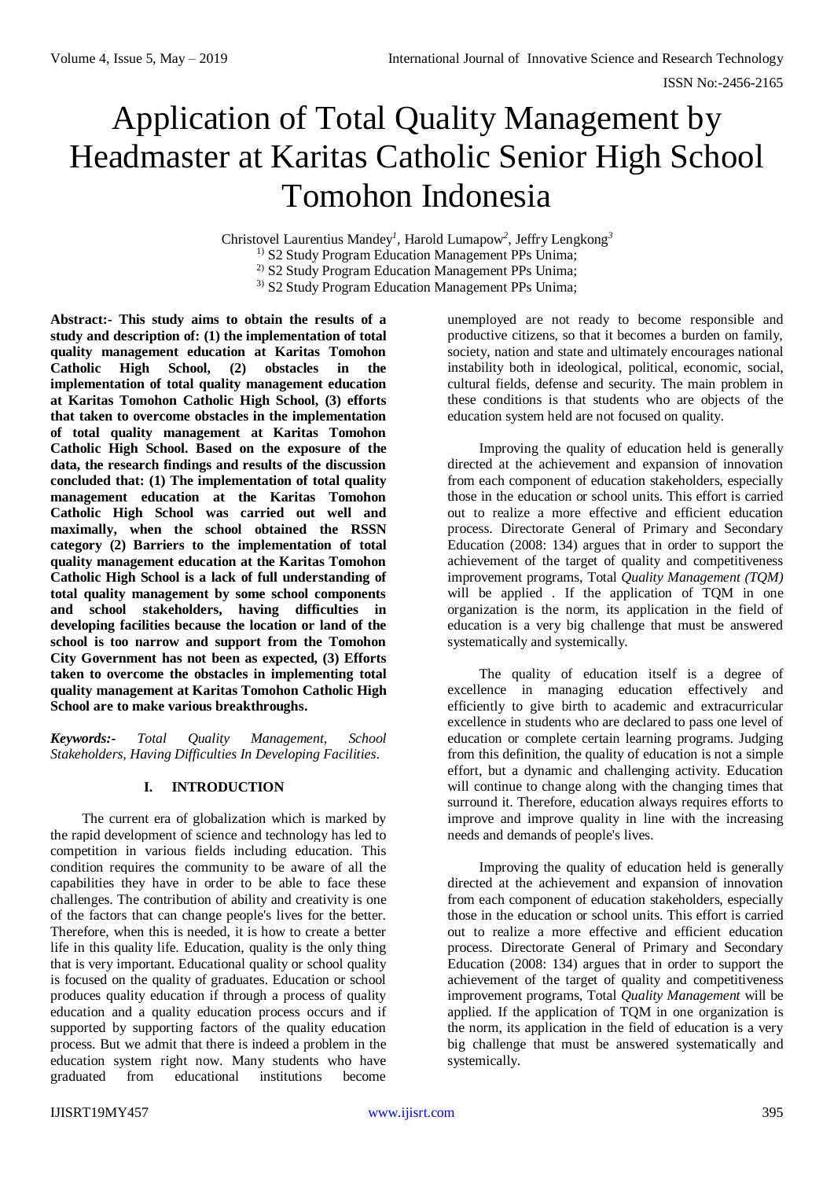# Application of Total Quality Management by Headmaster at Karitas Catholic Senior High School Tomohon Indonesia

Christovel Laurentius Mandey*<sup>1</sup> ,* Harold Lumapow*<sup>2</sup> ,* Jeffry Lengkong*<sup>3</sup>*

<sup>1)</sup> S2 Study Program Education Management PPs Unima;

<sup>2)</sup> S<sub>2</sub> Study Program Education Management PPs Unima;

<sup>3)</sup> S2 Study Program Education Management PPs Unima;

**Abstract:- This study aims to obtain the results of a study and description of: (1) the implementation of total quality management education at Karitas Tomohon Catholic High School, (2) obstacles in the implementation of total quality management education at Karitas Tomohon Catholic High School, (3) efforts that taken to overcome obstacles in the implementation of total quality management at Karitas Tomohon Catholic High School. Based on the exposure of the data, the research findings and results of the discussion concluded that: (1) The implementation of total quality management education at the Karitas Tomohon Catholic High School was carried out well and maximally, when the school obtained the RSSN category (2) Barriers to the implementation of total quality management education at the Karitas Tomohon Catholic High School is a lack of full understanding of total quality management by some school components and school stakeholders, having difficulties in developing facilities because the location or land of the school is too narrow and support from the Tomohon City Government has not been as expected, (3) Efforts taken to overcome the obstacles in implementing total quality management at Karitas Tomohon Catholic High School are to make various breakthroughs.** 

*Keywords:- Total Quality Management, School Stakeholders, Having Difficulties In Developing Facilities.*

## **I. INTRODUCTION**

The current era of globalization which is marked by the rapid development of science and technology has led to competition in various fields including education. This condition requires the community to be aware of all the capabilities they have in order to be able to face these challenges. The contribution of ability and creativity is one of the factors that can change people's lives for the better. Therefore, when this is needed, it is how to create a better life in this quality life. Education, quality is the only thing that is very important. Educational quality or school quality is focused on the quality of graduates. Education or school produces quality education if through a process of quality education and a quality education process occurs and if supported by supporting factors of the quality education process. But we admit that there is indeed a problem in the education system right now. Many students who have graduated from educational institutions become

unemployed are not ready to become responsible and productive citizens, so that it becomes a burden on family, society, nation and state and ultimately encourages national instability both in ideological, political, economic, social, cultural fields, defense and security. The main problem in these conditions is that students who are objects of the education system held are not focused on quality.

Improving the quality of education held is generally directed at the achievement and expansion of innovation from each component of education stakeholders, especially those in the education or school units. This effort is carried out to realize a more effective and efficient education process. Directorate General of Primary and Secondary Education (2008: 134) argues that in order to support the achievement of the target of quality and competitiveness improvement programs, Total *Quality Management (TQM)* will be applied *.* If the application of TQM in one organization is the norm, its application in the field of education is a very big challenge that must be answered systematically and systemically.

The quality of education itself is a degree of excellence in managing education effectively and efficiently to give birth to academic and extracurricular excellence in students who are declared to pass one level of education or complete certain learning programs. Judging from this definition, the quality of education is not a simple effort, but a dynamic and challenging activity. Education will continue to change along with the changing times that surround it. Therefore, education always requires efforts to improve and improve quality in line with the increasing needs and demands of people's lives.

Improving the quality of education held is generally directed at the achievement and expansion of innovation from each component of education stakeholders, especially those in the education or school units. This effort is carried out to realize a more effective and efficient education process. Directorate General of Primary and Secondary Education (2008: 134) argues that in order to support the achievement of the target of quality and competitiveness improvement programs, Total *Quality Management* will be applied*.* If the application of TQM in one organization is the norm, its application in the field of education is a very big challenge that must be answered systematically and systemically.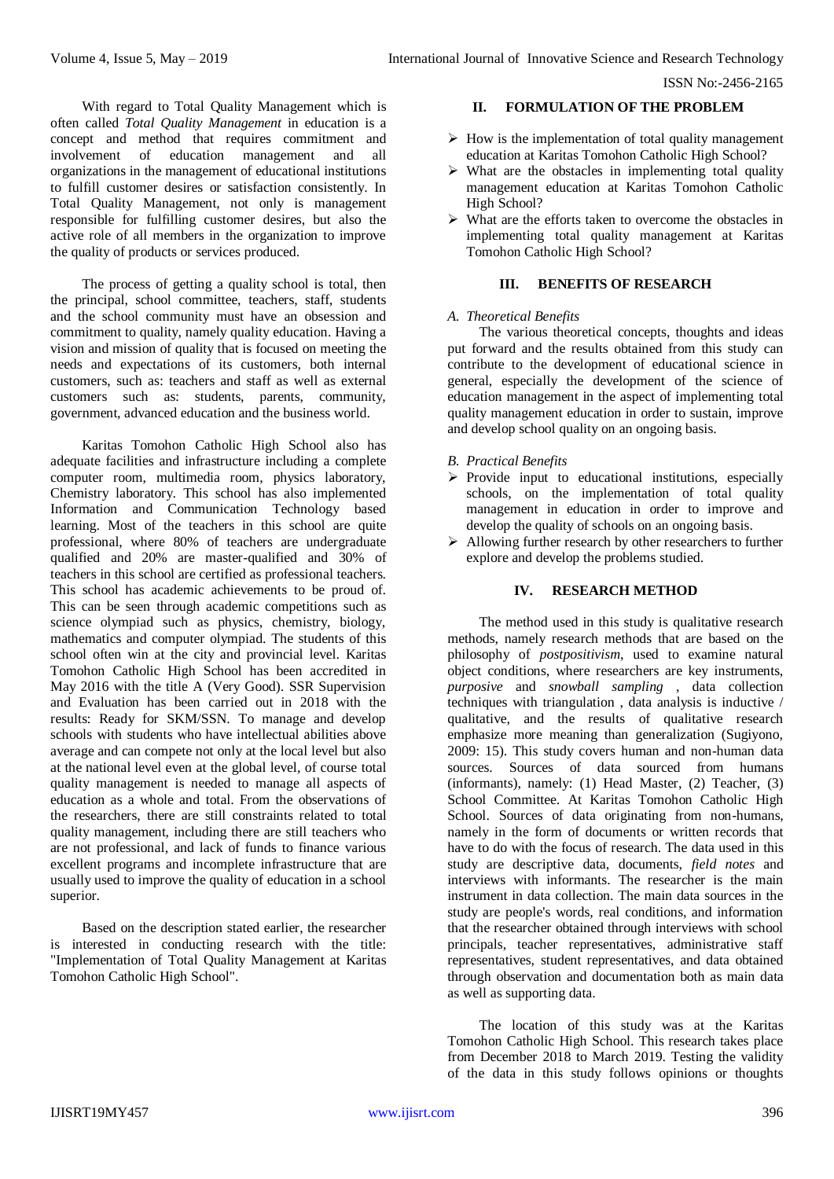ISSN No:-2456-2165

With regard to Total Quality Management which is often called *Total Quality Management* in education is a concept and method that requires commitment and involvement of education management and all organizations in the management of educational institutions to fulfill customer desires or satisfaction consistently. In Total Quality Management, not only is management responsible for fulfilling customer desires, but also the active role of all members in the organization to improve the quality of products or services produced.

The process of getting a quality school is total, then the principal, school committee, teachers, staff, students and the school community must have an obsession and commitment to quality, namely quality education. Having a vision and mission of quality that is focused on meeting the needs and expectations of its customers, both internal customers, such as: teachers and staff as well as external customers such as: students, parents, community, government, advanced education and the business world.

Karitas Tomohon Catholic High School also has adequate facilities and infrastructure including a complete computer room, multimedia room, physics laboratory, Chemistry laboratory. This school has also implemented Information and Communication Technology based learning. Most of the teachers in this school are quite professional, where 80% of teachers are undergraduate qualified and 20% are master-qualified and 30% of teachers in this school are certified as professional teachers. This school has academic achievements to be proud of. This can be seen through academic competitions such as science olympiad such as physics, chemistry, biology, mathematics and computer olympiad. The students of this school often win at the city and provincial level. Karitas Tomohon Catholic High School has been accredited in May 2016 with the title A (Very Good). SSR Supervision and Evaluation has been carried out in 2018 with the results: Ready for SKM/SSN. To manage and develop schools with students who have intellectual abilities above average and can compete not only at the local level but also at the national level even at the global level, of course total quality management is needed to manage all aspects of education as a whole and total. From the observations of the researchers, there are still constraints related to total quality management, including there are still teachers who are not professional, and lack of funds to finance various excellent programs and incomplete infrastructure that are usually used to improve the quality of education in a school superior.

Based on the description stated earlier, the researcher is interested in conducting research with the title: "Implementation of Total Quality Management at Karitas Tomohon Catholic High School".

#### **II. FORMULATION OF THE PROBLEM**

- $\triangleright$  How is the implementation of total quality management education at Karitas Tomohon Catholic High School?
- $\triangleright$  What are the obstacles in implementing total quality management education at Karitas Tomohon Catholic High School?
- $\triangleright$  What are the efforts taken to overcome the obstacles in implementing total quality management at Karitas Tomohon Catholic High School?

# **III. BENEFITS OF RESEARCH**

#### *A. Theoretical Benefits*

The various theoretical concepts, thoughts and ideas put forward and the results obtained from this study can contribute to the development of educational science in general, especially the development of the science of education management in the aspect of implementing total quality management education in order to sustain, improve and develop school quality on an ongoing basis.

## *B. Practical Benefits*

- $\triangleright$  Provide input to educational institutions, especially schools, on the implementation of total quality management in education in order to improve and develop the quality of schools on an ongoing basis.
- > Allowing further research by other researchers to further explore and develop the problems studied.

# **IV. RESEARCH METHOD**

The method used in this study is qualitative research methods, namely research methods that are based on the philosophy of *postpositivism*, used to examine natural object conditions, where researchers are key instruments, *purposive* and *snowball sampling* , data collection techniques with triangulation , data analysis is inductive / qualitative, and the results of qualitative research emphasize more meaning than generalization (Sugiyono, 2009: 15). This study covers human and non-human data sources. Sources of data sourced from humans (informants), namely: (1) Head Master, (2) Teacher, (3) School Committee. At Karitas Tomohon Catholic High School. Sources of data originating from non-humans, namely in the form of documents or written records that have to do with the focus of research. The data used in this study are descriptive data, documents, *field notes* and interviews with informants. The researcher is the main instrument in data collection. The main data sources in the study are people's words, real conditions, and information that the researcher obtained through interviews with school principals, teacher representatives, administrative staff representatives, student representatives, and data obtained through observation and documentation both as main data as well as supporting data.

The location of this study was at the Karitas Tomohon Catholic High School. This research takes place from December 2018 to March 2019. Testing the validity of the data in this study follows opinions or thoughts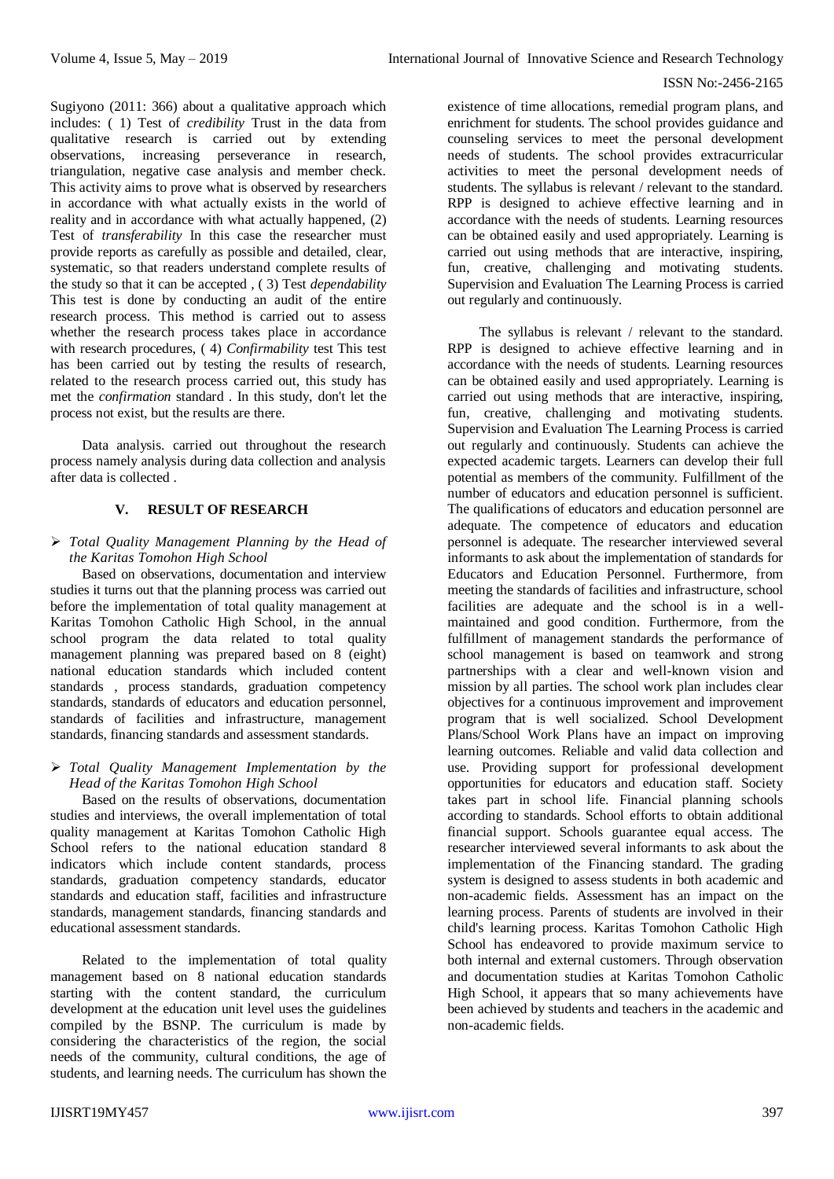#### ISSN No:-2456-2165

Sugiyono (2011: 366) about a qualitative approach which includes: ( 1) Test of *credibility* Trust in the data from qualitative research is carried out by extending observations, increasing perseverance in research, triangulation, negative case analysis and member check. This activity aims to prove what is observed by researchers in accordance with what actually exists in the world of reality and in accordance with what actually happened, (2) Test of *transferability* In this case the researcher must provide reports as carefully as possible and detailed, clear, systematic, so that readers understand complete results of the study so that it can be accepted , ( 3) Test *dependability* This test is done by conducting an audit of the entire research process. This method is carried out to assess whether the research process takes place in accordance with research procedures, ( 4) *Confirmability* test This test has been carried out by testing the results of research, related to the research process carried out, this study has met the *confirmation* standard . In this study, don't let the process not exist, but the results are there.

Data analysis. carried out throughout the research process namely analysis during data collection and analysis after data is collected .

#### **V. RESULT OF RESEARCH**

# *Total Quality Management Planning by the Head of the Karitas Tomohon High School*

Based on observations, documentation and interview studies it turns out that the planning process was carried out before the implementation of total quality management at Karitas Tomohon Catholic High School, in the annual school program the data related to total quality management planning was prepared based on 8 (eight) national education standards which included content standards , process standards, graduation competency standards, standards of educators and education personnel, standards of facilities and infrastructure, management standards, financing standards and assessment standards.

## *Total Quality Management Implementation by the Head of the Karitas Tomohon High School*

Based on the results of observations, documentation studies and interviews, the overall implementation of total quality management at Karitas Tomohon Catholic High School refers to the national education standard 8 indicators which include content standards, process standards, graduation competency standards, educator standards and education staff, facilities and infrastructure standards, management standards, financing standards and educational assessment standards.

Related to the implementation of total quality management based on 8 national education standards starting with the content standard, the curriculum development at the education unit level uses the guidelines compiled by the BSNP. The curriculum is made by considering the characteristics of the region, the social needs of the community, cultural conditions, the age of students, and learning needs. The curriculum has shown the

existence of time allocations, remedial program plans, and enrichment for students. The school provides guidance and counseling services to meet the personal development needs of students. The school provides extracurricular activities to meet the personal development needs of students. The syllabus is relevant / relevant to the standard. RPP is designed to achieve effective learning and in accordance with the needs of students. Learning resources can be obtained easily and used appropriately. Learning is carried out using methods that are interactive, inspiring, fun, creative, challenging and motivating students. Supervision and Evaluation The Learning Process is carried out regularly and continuously.

The syllabus is relevant / relevant to the standard. RPP is designed to achieve effective learning and in accordance with the needs of students. Learning resources can be obtained easily and used appropriately. Learning is carried out using methods that are interactive, inspiring, fun, creative, challenging and motivating students. Supervision and Evaluation The Learning Process is carried out regularly and continuously. Students can achieve the expected academic targets. Learners can develop their full potential as members of the community. Fulfillment of the number of educators and education personnel is sufficient. The qualifications of educators and education personnel are adequate. The competence of educators and education personnel is adequate. The researcher interviewed several informants to ask about the implementation of standards for Educators and Education Personnel. Furthermore, from meeting the standards of facilities and infrastructure, school facilities are adequate and the school is in a wellmaintained and good condition. Furthermore, from the fulfillment of management standards the performance of school management is based on teamwork and strong partnerships with a clear and well-known vision and mission by all parties. The school work plan includes clear objectives for a continuous improvement and improvement program that is well socialized. School Development Plans/School Work Plans have an impact on improving learning outcomes. Reliable and valid data collection and use. Providing support for professional development opportunities for educators and education staff. Society takes part in school life. Financial planning schools according to standards. School efforts to obtain additional financial support. Schools guarantee equal access. The researcher interviewed several informants to ask about the implementation of the Financing standard. The grading system is designed to assess students in both academic and non-academic fields. Assessment has an impact on the learning process. Parents of students are involved in their child's learning process. Karitas Tomohon Catholic High School has endeavored to provide maximum service to both internal and external customers. Through observation and documentation studies at Karitas Tomohon Catholic High School, it appears that so many achievements have been achieved by students and teachers in the academic and non-academic fields.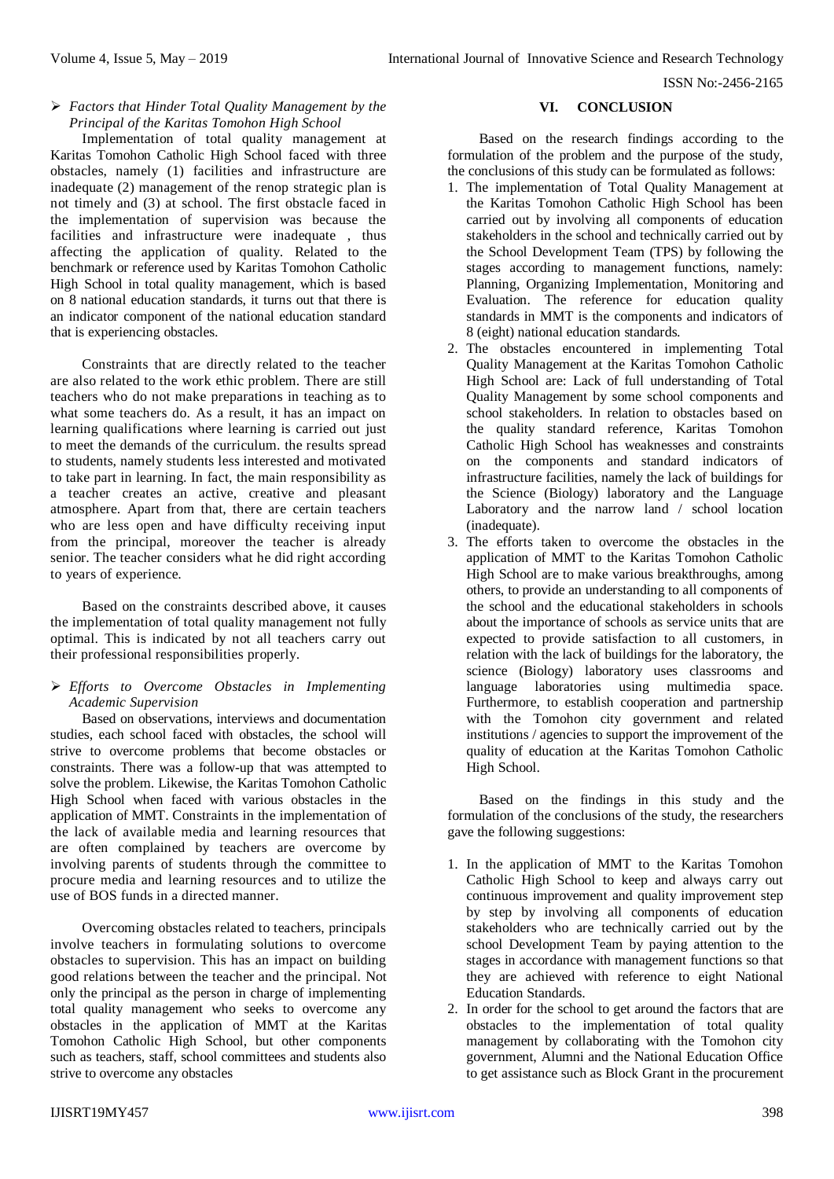ISSN No:-2456-2165

# *Factors that Hinder Total Quality Management by the Principal of the Karitas Tomohon High School*

Implementation of total quality management at Karitas Tomohon Catholic High School faced with three obstacles, namely (1) facilities and infrastructure are inadequate (2) management of the renop strategic plan is not timely and (3) at school. The first obstacle faced in the implementation of supervision was because the facilities and infrastructure were inadequate , thus affecting the application of quality. Related to the benchmark or reference used by Karitas Tomohon Catholic High School in total quality management, which is based on 8 national education standards, it turns out that there is an indicator component of the national education standard that is experiencing obstacles.

Constraints that are directly related to the teacher are also related to the work ethic problem. There are still teachers who do not make preparations in teaching as to what some teachers do. As a result, it has an impact on learning qualifications where learning is carried out just to meet the demands of the curriculum. the results spread to students, namely students less interested and motivated to take part in learning. In fact, the main responsibility as a teacher creates an active, creative and pleasant atmosphere. Apart from that, there are certain teachers who are less open and have difficulty receiving input from the principal, moreover the teacher is already senior. The teacher considers what he did right according to years of experience.

Based on the constraints described above, it causes the implementation of total quality management not fully optimal. This is indicated by not all teachers carry out their professional responsibilities properly.

## *Efforts to Overcome Obstacles in Implementing Academic Supervision*

Based on observations, interviews and documentation studies, each school faced with obstacles, the school will strive to overcome problems that become obstacles or constraints. There was a follow-up that was attempted to solve the problem. Likewise, the Karitas Tomohon Catholic High School when faced with various obstacles in the application of MMT. Constraints in the implementation of the lack of available media and learning resources that are often complained by teachers are overcome by involving parents of students through the committee to procure media and learning resources and to utilize the use of BOS funds in a directed manner.

Overcoming obstacles related to teachers, principals involve teachers in formulating solutions to overcome obstacles to supervision. This has an impact on building good relations between the teacher and the principal. Not only the principal as the person in charge of implementing total quality management who seeks to overcome any obstacles in the application of MMT at the Karitas Tomohon Catholic High School, but other components such as teachers, staff, school committees and students also strive to overcome any obstacles

#### **VI. CONCLUSION**

Based on the research findings according to the formulation of the problem and the purpose of the study, the conclusions of this study can be formulated as follows:

- 1. The implementation of Total Quality Management at the Karitas Tomohon Catholic High School has been carried out by involving all components of education stakeholders in the school and technically carried out by the School Development Team (TPS) by following the stages according to management functions, namely: Planning, Organizing Implementation, Monitoring and Evaluation. The reference for education quality standards in MMT is the components and indicators of 8 (eight) national education standards.
- 2. The obstacles encountered in implementing Total Quality Management at the Karitas Tomohon Catholic High School are: Lack of full understanding of Total Quality Management by some school components and school stakeholders. In relation to obstacles based on the quality standard reference, Karitas Tomohon Catholic High School has weaknesses and constraints on the components and standard indicators of infrastructure facilities, namely the lack of buildings for the Science (Biology) laboratory and the Language Laboratory and the narrow land / school location (inadequate).
- 3. The efforts taken to overcome the obstacles in the application of MMT to the Karitas Tomohon Catholic High School are to make various breakthroughs, among others, to provide an understanding to all components of the school and the educational stakeholders in schools about the importance of schools as service units that are expected to provide satisfaction to all customers, in relation with the lack of buildings for the laboratory, the science (Biology) laboratory uses classrooms and language laboratories using multimedia space. Furthermore, to establish cooperation and partnership with the Tomohon city government and related institutions / agencies to support the improvement of the quality of education at the Karitas Tomohon Catholic High School.

Based on the findings in this study and the formulation of the conclusions of the study, the researchers gave the following suggestions:

- 1. In the application of MMT to the Karitas Tomohon Catholic High School to keep and always carry out continuous improvement and quality improvement step by step by involving all components of education stakeholders who are technically carried out by the school Development Team by paying attention to the stages in accordance with management functions so that they are achieved with reference to eight National Education Standards.
- 2. In order for the school to get around the factors that are obstacles to the implementation of total quality management by collaborating with the Tomohon city government, Alumni and the National Education Office to get assistance such as Block Grant in the procurement